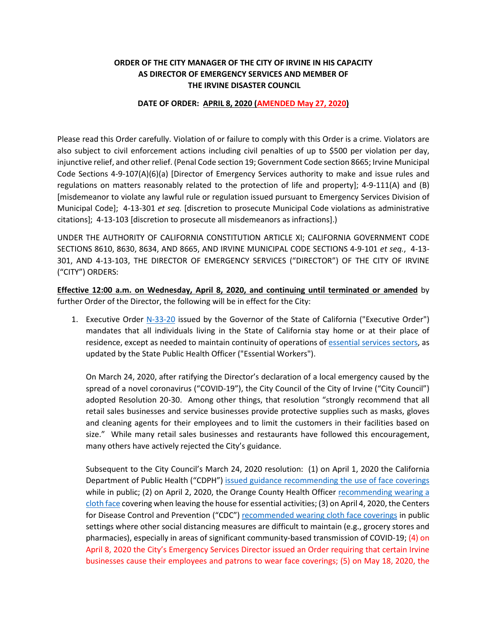## **ORDER OF THE CITY MANAGER OF THE CITY OF IRVINE IN HIS CAPACITY AS DIRECTOR OF EMERGENCY SERVICES AND MEMBER OF THE IRVINE DISASTER COUNCIL**

## **DATE OF ORDER: APRIL 8, 2020 (AMENDED May 27, 2020)**

Please read this Order carefully. Violation of or failure to comply with this Order is a crime. Violators are also subject to civil enforcement actions including civil penalties of up to \$500 per violation per day, injunctive relief, and other relief. (Penal Code section 19; Government Code section 8665; Irvine Municipal Code Sections 4-9-107(A)(6)(a) [Director of Emergency Services authority to make and issue rules and regulations on matters reasonably related to the protection of life and property]; 4-9-111(A) and (B) [misdemeanor to violate any lawful rule or regulation issued pursuant to Emergency Services Division of Municipal Code]; 4-13-301 *et seq.* [discretion to prosecute Municipal Code violations as administrative citations]; 4-13-103 [discretion to prosecute all misdemeanors as infractions].)

UNDER THE AUTHORITY OF CALIFORNIA CONSTITUTION ARTICLE XI; CALIFORNIA GOVERNMENT CODE SECTIONS 8610, 8630, 8634, AND 8665, AND IRVINE MUNICIPAL CODE SECTIONS 4-9-101 *et seq.*, 4-13- 301, AND 4-13-103, THE DIRECTOR OF EMERGENCY SERVICES ("DIRECTOR") OF THE CITY OF IRVINE ("CITY") ORDERS:

**Effective 12:00 a.m. on Wednesday, April 8, 2020, and continuing until terminated or amended** by further Order of the Director, the following will be in effect for the City:

1. Executive Order [N-33-20](https://covid19.ca.gov/img/Executive-Order-N-33-20.pdf) issued by the Governor of the State of California ("Executive Order") mandates that all individuals living in the State of California stay home or at their place of residence, except as needed to maintain continuity of operations of [essential services sectors,](https://covid19.ca.gov/img/EssentialCriticallnfrastructureWorkers.pdf) as updated by the State Public Health Officer ("Essential Workers").

On March 24, 2020, after ratifying the Director's declaration of a local emergency caused by the spread of a novel coronavirus ("COVID-19"), the City Council of the City of Irvine ("City Council") adopted Resolution 20-30. Among other things, that resolution "strongly recommend that all retail sales businesses and service businesses provide protective supplies such as masks, gloves and cleaning agents for their employees and to limit the customers in their facilities based on size." While many retail sales businesses and restaurants have followed this encouragement, many others have actively rejected the City's guidance.

Subsequent to the City Council's March 24, 2020 resolution: (1) on April 1, 2020 the California Department of Public Health ("CDPH") [issued guidance recommending the use of face coverings](https://www.cdph.ca.gov/Programs/CID/DCDC/Pages/Face-Coverings-Guidance.aspx) while in public; (2) on April 2, 2020, the Orange County Health Officer [recommending wearing a](https://cms.ocgov.com/civicax/filebank/blobdload.aspx?BlobID=114753)  [cloth face](https://cms.ocgov.com/civicax/filebank/blobdload.aspx?BlobID=114753) covering when leaving the house for essential activities; (3) on April 4, 2020, the Centers for Disease Control and Prevention ("CDC") [recommended wearing cloth face coverings](https://www.cdc.gov/coronavirus/2019-ncov/downloads/DIY-cloth-face-covering-instructions.pdf) in public settings where other social distancing measures are difficult to maintain (e.g., grocery stores and pharmacies), especially in areas of significant community-based transmission of COVID-19; (4) on April 8, 2020 the City's Emergency Services Director issued an Order requiring that certain Irvine businesses cause their employees and patrons to wear face coverings; (5) on May 18, 2020, the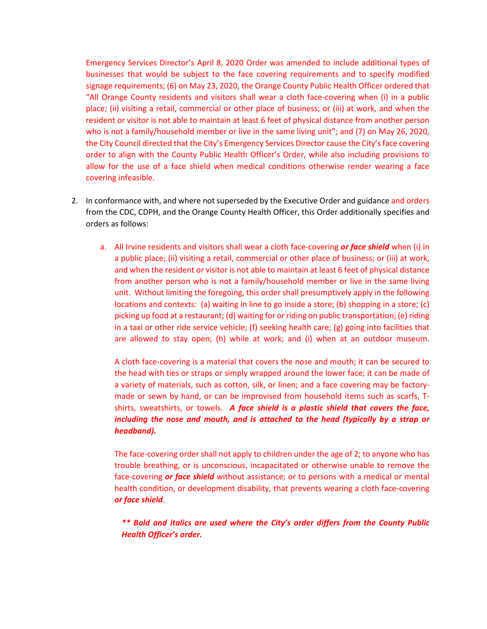Emergency Services Director's April 8, 2020 Order was amended to include additional types of businesses that would be subject to the face covering requirements and to specify modified signage requirements; (6) on May 23, 2020, the Orange County Public Health Officer ordered that "All Orange County residents and visitors shall wear a cloth face-covering when (i) in a public place; (ii) visiting a retail, commercial or other place of business; or (iii) at work, and when the resident or visitor is not able to maintain at least 6 feet of physical distance from another person who is not a family/household member or live in the same living unit"; and (7) on May 26, 2020, the City Council directed that the City's Emergency Services Director cause the City's face covering order to align with the County Public Health Officer's Order, while also including provisions to allow for the use of a face shield when medical conditions otherwise render wearing a face covering infeasible.

- 2. In conformance with, and where not superseded by the Executive Order and guidance and orders from the CDC, CDPH, and the Orange County Health Officer, this Order additionally specifies and orders as follows:
	- a. All Irvine residents and visitors shall wear a cloth face-covering *or face shield* when (i) in a public place; (ii) visiting a retail, commercial or other place of business; or (iii) at work, and when the resident or visitor is not able to maintain at least 6 feet of physical distance from another person who is not a family/household member or live in the same living unit. Without limiting the foregoing, this order shall presumptively apply in the following locations and contexts: (a) waiting in line to go inside a store; (b) shopping in a store; (c) picking up food at a restaurant; (d) waiting for or riding on public transportation; (e) riding in a taxi or other ride service vehicle; (f) seeking health care; (g) going into facilities that are allowed to stay open; (h) while at work; and (i) when at an outdoor museum.

A cloth face-covering is a material that covers the nose and mouth; it can be secured to the head with ties or straps or simply wrapped around the lower face; it can be made of a variety of materials, such as cotton, silk, or linen; and a face covering may be factorymade or sewn by hand, or can be improvised from household items such as scarfs, Tshirts, sweatshirts, or towels. *A face shield is a plastic shield that covers the face, including the nose and mouth, and is attached to the head (typically by a strap or headband).*

The face-covering order shall not apply to children under the age of 2; to anyone who has trouble breathing, or is unconscious, incapacitated or otherwise unable to remove the face-covering *or face shield* without assistance; or to persons with a medical or mental health condition, or development disability, that prevents wearing a cloth face-covering *or face shield*.

*\*\* Bold and italics are used where the City's order differs from the County Public Health Officer's order.*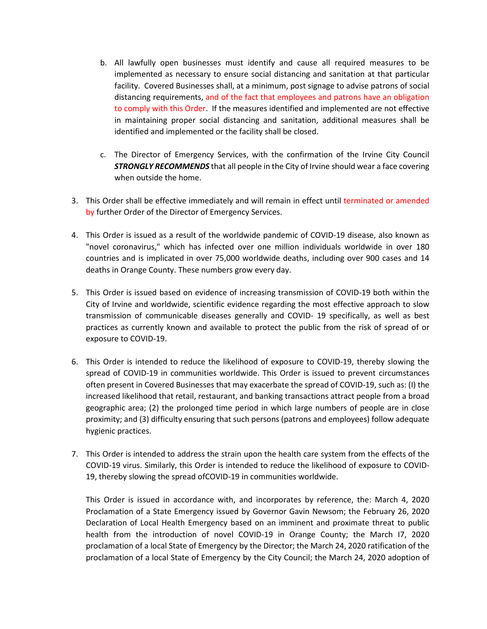- b. All lawfully open businesses must identify and cause all required measures to be implemented as necessary to ensure social distancing and sanitation at that particular facility. Covered Businesses shall, at a minimum, post signage to advise patrons of social distancing requirements, and of the fact that employees and patrons have an obligation to comply with this Order. If the measures identified and implemented are not effective in maintaining proper social distancing and sanitation, additional measures shall be identified and implemented or the facility shall be closed.
- c. The Director of Emergency Services, with the confirmation of the Irvine City Council *STRONGLY RECOMMENDS* that all people in the City of Irvine should wear a face covering when outside the home.
- 3. This Order shall be effective immediately and will remain in effect until terminated or amended by further Order of the Director of Emergency Services.
- 4. This Order is issued as a result of the worldwide pandemic of COVID-19 disease, also known as "novel coronavirus," which has infected over one million individuals worldwide in over 180 countries and is implicated in over 75,000 worldwide deaths, including over 900 cases and 14 deaths in Orange County. These numbers grow every day.
- 5. This Order is issued based on evidence of increasing transmission of COVID-19 both within the City of Irvine and worldwide, scientific evidence regarding the most effective approach to slow transmission of communicable diseases generally and COVID- 19 specifically, as well as best practices as currently known and available to protect the public from the risk of spread of or exposure to COVID-19.
- 6. This Order is intended to reduce the likelihood of exposure to COVID-19, thereby slowing the spread of COVID-19 in communities worldwide. This Order is issued to prevent circumstances often present in Covered Businesses that may exacerbate the spread of COVID-19, such as: (I) the increased likelihood that retail, restaurant, and banking transactions attract people from a broad geographic area; (2) the prolonged time period in which large numbers of people are in close proximity; and (3) difficulty ensuring that such persons (patrons and employees) follow adequate hygienic practices.
- 7. This Order is intended to address the strain upon the health care system from the effects of the COVID-19 virus. Similarly, this Order is intended to reduce the likelihood of exposure to COVID-19, thereby slowing the spread ofCOVID-19 in communities worldwide.

This Order is issued in accordance with, and incorporates by reference, the: March 4, 2020 Proclamation of a State Emergency issued by Governor Gavin Newsom; the February 26, 2020 Declaration of Local Health Emergency based on an imminent and proximate threat to public health from the introduction of novel COVID-19 in Orange County; the March I7, 2020 proclamation of a local State of Emergency by the Director; the March 24, 2020 ratification of the proclamation of a local State of Emergency by the City Council; the March 24, 2020 adoption of